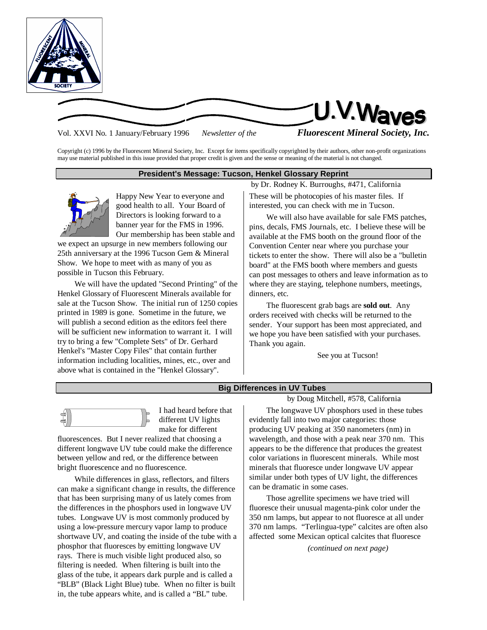

U.V.Waves

Vol. XXVI No. 1 January/February 1996 *Newsletter of the Fluorescent Mineral Society, Inc.*

Copyright (c) 1996 by the Fluorescent Mineral Society, Inc. Except for items specifically copyrighted by their authors, other non-profit organizations may use material published in this issue provided that proper credit is given and the sense or meaning of the material is not changed.

# **President's Message: Tucson, Henkel Glossary Reprint**



Happy New Year to everyone and good health to all. Your Board of Directors is looking forward to a banner year for the FMS in 1996. Our membership has been stable and

we expect an upsurge in new members following our 25th anniversary at the 1996 Tucson Gem & Mineral Show. We hope to meet with as many of you as possible in Tucson this February.

We will have the updated "Second Printing" of the Henkel Glossary of Fluorescent Minerals available for sale at the Tucson Show. The initial run of 1250 copies printed in 1989 is gone. Sometime in the future, we will publish a second edition as the editors feel there will be sufficient new information to warrant it. I will try to bring a few "Complete Sets" of Dr. Gerhard Henkel's "Master Copy Files" that contain further information including localities, mines, etc., over and above what is contained in the "Henkel Glossary".

by Dr. Rodney K. Burroughs, #471, California These will be photocopies of his master files. If interested, you can check with me in Tucson.

We will also have available for sale FMS patches, pins, decals, FMS Journals, etc. I believe these will be available at the FMS booth on the ground floor of the Convention Center near where you purchase your tickets to enter the show. There will also be a "bulletin board" at the FMS booth where members and guests can post messages to others and leave information as to where they are staying, telephone numbers, meetings, dinners, etc.

The fluorescent grab bags are **sold out**. Any orders received with checks will be returned to the sender. Your support has been most appreciated, and we hope you have been satisfied with your purchases. Thank you again.

See you at Tucson!

# **Big Differences in UV Tubes**



I had heard before that different UV lights make for different

fluorescences. But I never realized that choosing a different longwave UV tube could make the difference between yellow and red, or the difference between bright fluorescence and no fluorescence.

While differences in glass, reflectors, and filters can make a significant change in results, the difference that has been surprising many of us lately comes from the differences in the phosphors used in longwave UV tubes. Longwave UV is most commonly produced by using a low-pressure mercury vapor lamp to produce shortwave UV, and coating the inside of the tube with a phosphor that fluoresces by emitting longwave UV rays. There is much visible light produced also, so filtering is needed. When filtering is built into the glass of the tube, it appears dark purple and is called a "BLB" (Black Light Blue) tube. When no filter is built in, the tube appears white, and is called a "BL" tube.

## by Doug Mitchell, #578, California

The longwave UV phosphors used in these tubes evidently fall into two major categories: those producing UV peaking at 350 nanometers (nm) in wavelength, and those with a peak near 370 nm. This appears to be the difference that produces the greatest color variations in fluorescent minerals. While most minerals that fluoresce under longwave UV appear similar under both types of UV light, the differences can be dramatic in some cases.

Those agrellite specimens we have tried will fluoresce their unusual magenta-pink color under the 350 nm lamps, but appear to not fluoresce at all under 370 nm lamps. "Terlingua-type" calcites are often also affected some Mexican optical calcites that fluoresce

*(continued on next page)*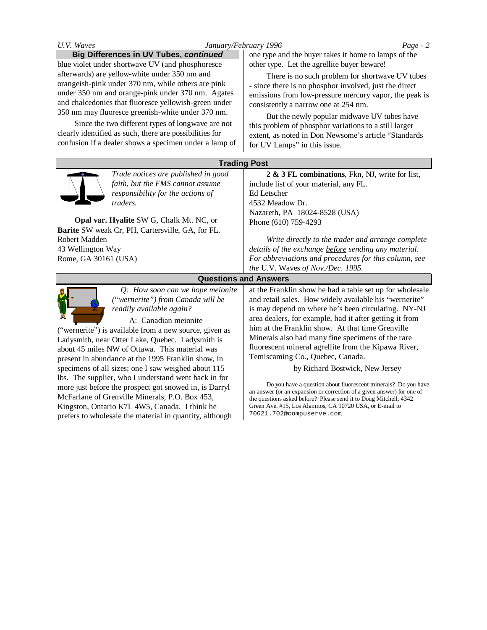| January/February 1996<br>U.V. Waves                                                                                                                                                                                                                                                                                                                                                                                                                                                                                                                                                                                                                                                    | $Page - 2$                                                                                                                                                                                                                                                                                                                                                                                                                                                                                                                                                                                                                                                                                                                                                                            |  |
|----------------------------------------------------------------------------------------------------------------------------------------------------------------------------------------------------------------------------------------------------------------------------------------------------------------------------------------------------------------------------------------------------------------------------------------------------------------------------------------------------------------------------------------------------------------------------------------------------------------------------------------------------------------------------------------|---------------------------------------------------------------------------------------------------------------------------------------------------------------------------------------------------------------------------------------------------------------------------------------------------------------------------------------------------------------------------------------------------------------------------------------------------------------------------------------------------------------------------------------------------------------------------------------------------------------------------------------------------------------------------------------------------------------------------------------------------------------------------------------|--|
| <b>Big Differences in UV Tubes, continued</b><br>blue violet under shortwave UV (and phosphoresce<br>afterwards) are yellow-white under 350 nm and<br>orangeish-pink under 370 nm, while others are pink<br>under 350 nm and orange-pink under 370 nm. Agates<br>and chalcedonies that fluoresce yellowish-green under<br>350 nm may fluoresce greenish-white under 370 nm.<br>Since the two different types of longwave are not<br>clearly identified as such, there are possibilities for<br>confusion if a dealer shows a specimen under a lamp of                                                                                                                                  | one type and the buyer takes it home to lamps of the<br>other type. Let the agrellite buyer beware!<br>There is no such problem for shortwave UV tubes<br>- since there is no phosphor involved, just the direct<br>emissions from low-pressure mercury vapor, the peak is<br>consistently a narrow one at 254 nm.<br>But the newly popular midwave UV tubes have<br>this problem of phosphor variations to a still larger<br>extent, as noted in Don Newsome's article "Standards<br>for UV Lamps" in this issue.                                                                                                                                                                                                                                                                    |  |
| <b>Trading Post</b>                                                                                                                                                                                                                                                                                                                                                                                                                                                                                                                                                                                                                                                                    |                                                                                                                                                                                                                                                                                                                                                                                                                                                                                                                                                                                                                                                                                                                                                                                       |  |
| Trade notices are published in good<br>faith, but the FMS cannot assume<br>responsibility for the actions of<br>traders.<br>Opal var. Hyalite SW G, Chalk Mt. NC, or<br>Barite SW weak Cr, PH, Cartersville, GA, for FL.<br>Robert Madden                                                                                                                                                                                                                                                                                                                                                                                                                                              | 2 & 3 FL combinations, Fkn, NJ, write for list,<br>include list of your material, any FL.<br>Ed Letscher<br>4532 Meadow Dr.<br>Nazareth, PA 18024-8528 (USA)<br>Phone (610) 759-4293<br>Write directly to the trader and arrange complete                                                                                                                                                                                                                                                                                                                                                                                                                                                                                                                                             |  |
| 43 Wellington Way<br>Rome, GA 30161 (USA)                                                                                                                                                                                                                                                                                                                                                                                                                                                                                                                                                                                                                                              | details of the exchange before sending any material.<br>For abbreviations and procedures for this column, see<br>the U.V. Waves of Nov./Dec. 1995.                                                                                                                                                                                                                                                                                                                                                                                                                                                                                                                                                                                                                                    |  |
| <b>Questions and Answers</b>                                                                                                                                                                                                                                                                                                                                                                                                                                                                                                                                                                                                                                                           |                                                                                                                                                                                                                                                                                                                                                                                                                                                                                                                                                                                                                                                                                                                                                                                       |  |
| Q: How soon can we hope meionite<br>("wernerite") from Canada will be<br>readily available again?<br>A: Canadian meionite<br>("wernerite") is available from a new source, given as<br>Ladysmith, near Otter Lake, Quebec. Ladysmith is<br>about 45 miles NW of Ottawa. This material was<br>present in abundance at the 1995 Franklin show, in<br>specimens of all sizes; one I saw weighed about 115<br>lbs. The supplier, who I understand went back in for<br>more just before the prospect got snowed in, is Darryl<br>McFarlane of Grenville Minerals, P.O. Box 453,<br>Kingston, Ontario K7L 4W5, Canada. I think he<br>prefers to wholesale the material in quantity, although | at the Franklin show he had a table set up for wholesale<br>and retail sales. How widely available his "wernerite"<br>is may depend on where he's been circulating. NY-NJ<br>area dealers, for example, had it after getting it from<br>him at the Franklin show. At that time Grenville<br>Minerals also had many fine specimens of the rare<br>fluorescent mineral agrellite from the Kipawa River,<br>Temiscaming Co., Quebec, Canada.<br>by Richard Bostwick, New Jersey<br>Do you have a question about fluorescent minerals? Do you have<br>an answer (or an expansion or correction of a given answer) for one of<br>the questions asked before? Please send it to Doug Mitchell, 4342<br>Green Ave. #15, Los Alamitos, CA 90720 USA, or E-mail to<br>70621.702@compuserve.com |  |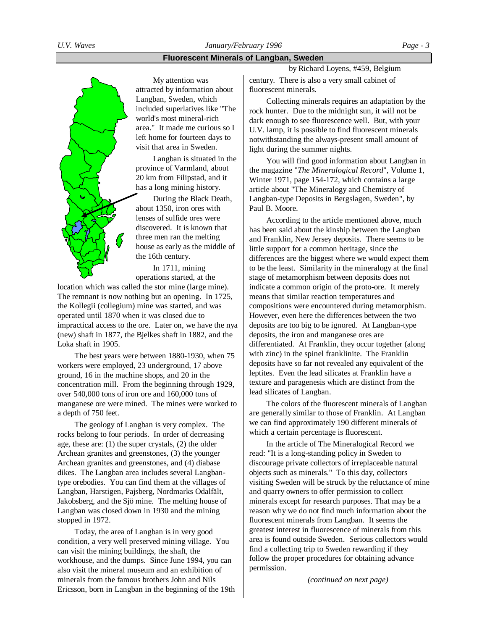## **Fluorescent Minerals of Langban, Sweden**



My attention was attracted by information about Langban, Sweden, which included superlatives like "The world's most mineral-rich area." It made me curious so I left home for fourteen days to visit that area in Sweden.

Langban is situated in the province of Varmland, about 20 km from Filipstad, and it has a long mining history.

During the Black Death, about 1350, iron ores with lenses of sulfide ores were discovered. It is known that three men ran the melting house as early as the middle of the 16th century.

In 1711, mining operations started, at the

location which was called the stor mine (large mine). The remnant is now nothing but an opening. In 1725, the Kollegii (collegium) mine was started, and was operated until 1870 when it was closed due to impractical access to the ore. Later on, we have the nya (new) shaft in 1877, the Bjelkes shaft in 1882, and the Loka shaft in 1905.

The best years were between 1880-1930, when 75 workers were employed, 23 underground, 17 above ground, 16 in the machine shops, and 20 in the concentration mill. From the beginning through 1929, over 540,000 tons of iron ore and 160,000 tons of manganese ore were mined. The mines were worked to a depth of 750 feet.

The geology of Langban is very complex. The rocks belong to four periods. In order of decreasing age, these are: (1) the super crystals, (2) the older Archean granites and greenstones, (3) the younger Archean granites and greenstones, and (4) diabase dikes. The Langban area includes several Langbantype orebodies. You can find them at the villages of Langban, Harstigen, Pajsberg, Nordmarks Odalfält, Jakobsberg, and the Sjö mine. The melting house of Langban was closed down in 1930 and the mining stopped in 1972.

Today, the area of Langban is in very good condition, a very well preserved mining village. You can visit the mining buildings, the shaft, the workhouse, and the dumps. Since June 1994, you can also visit the mineral museum and an exhibition of minerals from the famous brothers John and Nils Ericsson, born in Langban in the beginning of the 19th by Richard Loyens, #459, Belgium

century. There is also a very small cabinet of fluorescent minerals.

Collecting minerals requires an adaptation by the rock hunter. Due to the midnight sun, it will not be dark enough to see fluorescence well. But, with your U.V. lamp, it is possible to find fluorescent minerals notwithstanding the always-present small amount of light during the summer nights.

You will find good information about Langban in the magazine "*The Mineralogical Record*", Volume 1, Winter 1971, page 154-172, which contains a large article about "The Mineralogy and Chemistry of Langban-type Deposits in Bergslagen, Sweden", by Paul B. Moore.

According to the article mentioned above, much has been said about the kinship between the Langban and Franklin, New Jersey deposits. There seems to be little support for a common heritage, since the differences are the biggest where we would expect them to be the least. Similarity in the mineralogy at the final stage of metamorphism between deposits does not indicate a common origin of the proto-ore. It merely means that similar reaction temperatures and compositions were encountered during metamorphism. However, even here the differences between the two deposits are too big to be ignored. At Langban-type deposits, the iron and manganese ores are differentiated. At Franklin, they occur together (along with zinc) in the spinel franklinite. The Franklin deposits have so far not revealed any equivalent of the leptites. Even the lead silicates at Franklin have a texture and paragenesis which are distinct from the lead silicates of Langban.

The colors of the fluorescent minerals of Langban are generally similar to those of Franklin. At Langban we can find approximately 190 different minerals of which a certain percentage is fluorescent.

In the article of The Mineralogical Record we read: "It is a long-standing policy in Sweden to discourage private collectors of irreplaceable natural objects such as minerals." To this day, collectors visiting Sweden will be struck by the reluctance of mine and quarry owners to offer permission to collect minerals except for research purposes. That may be a reason why we do not find much information about the fluorescent minerals from Langban. It seems the greatest interest in fluorescence of minerals from this area is found outside Sweden. Serious collectors would find a collecting trip to Sweden rewarding if they follow the proper procedures for obtaining advance permission.

*(continued on next page)*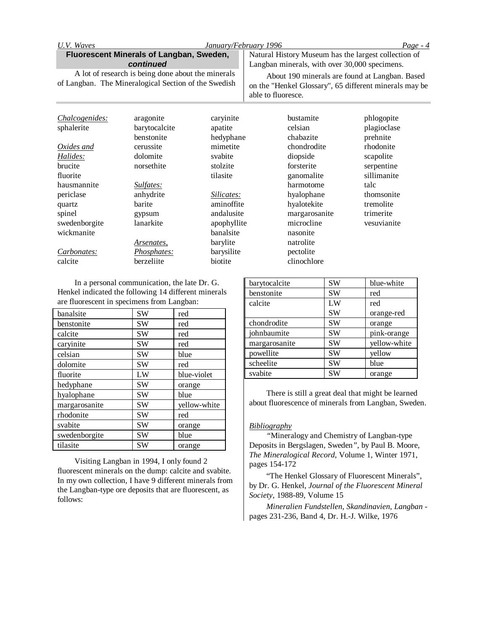| U.V. Waves                                                                                                 |                   | January/February 1996 |                                                                                                                                | $Page - 4$  |
|------------------------------------------------------------------------------------------------------------|-------------------|-----------------------|--------------------------------------------------------------------------------------------------------------------------------|-------------|
| Fluorescent Minerals of Langban, Sweden,<br>continued                                                      |                   |                       | Natural History Museum has the largest collection of<br>Langban minerals, with over 30,000 specimens.                          |             |
| A lot of research is being done about the minerals<br>of Langban. The Mineralogical Section of the Swedish |                   |                       | About 190 minerals are found at Langban. Based<br>on the "Henkel Glossary", 65 different minerals may be<br>able to fluoresce. |             |
| Chalcogenides:                                                                                             | aragonite         | caryinite             | bustamite                                                                                                                      | phlogopite  |
| sphalerite                                                                                                 | barytocalcite     | apatite               | celsian                                                                                                                        | plagioclase |
|                                                                                                            | benstonite        | hedyphane             | chabazite                                                                                                                      | prehnite    |
| Oxides and                                                                                                 | cerussite         | mimetite              | chondrodite                                                                                                                    | rhodonite   |
| Halides:                                                                                                   | dolomite          | svabite               | diopside                                                                                                                       | scapolite   |
| brucite                                                                                                    | norsethite        | stolzite              | forsterite                                                                                                                     | serpentine  |
| fluorite                                                                                                   |                   | tilasite              | ganomalite                                                                                                                     | sillimanite |
| hausmannite                                                                                                | Sulfates:         |                       | harmotome                                                                                                                      | talc        |
| periclase                                                                                                  | anhydrite         | Silicates:            | hyalophane                                                                                                                     | thomsonite  |
| quartz                                                                                                     | barite            | aminoffite            | hyalotekite                                                                                                                    | tremolite   |
| spinel                                                                                                     | gypsum            | andalusite            | margarosanite                                                                                                                  | trimerite   |
| swedenborgite                                                                                              | lanarkite         | apophyllite           | microcline                                                                                                                     | vesuvianite |
| wickmanite                                                                                                 |                   | banalsite             | nasonite                                                                                                                       |             |
|                                                                                                            | <u>Arsenates,</u> | barylite              | natrolite                                                                                                                      |             |
| Carbonates:                                                                                                | Phosphates:       | barysilite            | pectolite                                                                                                                      |             |
| calcite                                                                                                    | berzeliite        | biotite               | clinochlore                                                                                                                    |             |

In a personal communication, the late Dr. G. Henkel indicated the following 14 different minerals are fluorescent in specimens from Langban:

| banalsite     | SW        | red          |
|---------------|-----------|--------------|
| benstonite    | SW        | red          |
| calcite       | <b>SW</b> | red          |
| caryinite     | SW        | red          |
| celsian       | SW        | blue         |
| dolomite      | <b>SW</b> | red          |
| fluorite      | LW        | blue-violet  |
| hedyphane     | SW        | orange       |
| hyalophane    | <b>SW</b> | blue         |
| margarosanite | SW        | yellow-white |
| rhodonite     | SW        | red          |
| svabite       | SW        | orange       |
| swedenborgite | SW        | blue         |
| tilasite      | SW        | orange       |

Visiting Langban in 1994, I only found 2 fluorescent minerals on the dump: calcite and svabite. In my own collection, I have 9 different minerals from the Langban-type ore deposits that are fluorescent, as follows:

| barytocalcite | SW        | blue-white   |
|---------------|-----------|--------------|
| benstonite    | SW        | red          |
| calcite       | LW        | red          |
|               | SW        | orange-red   |
| chondrodite   | <b>SW</b> | orange       |
| johnbaumite   | SW        | pink-orange  |
| margarosanite | SW        | yellow-white |
| powellite     | SW        | yellow       |
| scheelite     | SW        | blue         |
| svabite       | SW        | orange       |

There is still a great deal that might be learned about fluorescence of minerals from Langban, Sweden.

### *Bibliography*

*"*Mineralogy and Chemistry of Langban-type Deposits in Bergslagen, Sweden*"*, by Paul B. Moore, *The Mineralogical Record*, Volume 1, Winter 1971, pages 154-172

"The Henkel Glossary of Fluorescent Minerals", by Dr. G. Henkel, *Journal of the Fluorescent Mineral Society*, 1988-89, Volume 15

*Mineralien Fundstellen, Skandinavien, Langban* pages 231-236, Band 4, Dr. H.-J. Wilke, 1976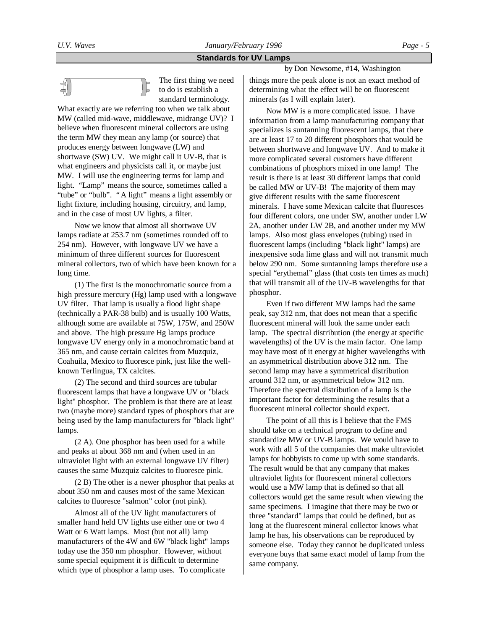# **Standards for UV Lamps**



The first thing we need to do is establish a standard terminology.

What exactly are we referring too when we talk about MW (called mid-wave, middlewave, midrange UV)? I believe when fluorescent mineral collectors are using the term MW they mean any lamp (or source) that produces energy between longwave (LW) and shortwave (SW) UV. We might call it UV-B, that is what engineers and physicists call it, or maybe just MW. I will use the engineering terms for lamp and light. "Lamp" means the source, sometimes called a "tube" or "bulb". "A light" means a light assembly or light fixture, including housing, circuitry, and lamp, and in the case of most UV lights, a filter.

Now we know that almost all shortwave UV lamps radiate at 253.7 nm (sometimes rounded off to 254 nm). However, with longwave UV we have a minimum of three different sources for fluorescent mineral collectors, two of which have been known for a long time.

(1) The first is the monochromatic source from a high pressure mercury (Hg) lamp used with a longwave UV filter. That lamp is usually a flood light shape (technically a PAR-38 bulb) and is usually 100 Watts, although some are available at 75W, 175W, and 250W and above. The high pressure Hg lamps produce longwave UV energy only in a monochromatic band at 365 nm, and cause certain calcites from Muzquiz, Coahuila, Mexico to fluoresce pink, just like the wellknown Terlingua, TX calcites.

(2) The second and third sources are tubular fluorescent lamps that have a longwave UV or "black light" phosphor. The problem is that there are at least two (maybe more) standard types of phosphors that are being used by the lamp manufacturers for "black light" lamps.

(2 A). One phosphor has been used for a while and peaks at about 368 nm and (when used in an ultraviolet light with an external longwave UV filter) causes the same Muzquiz calcites to fluoresce pink.

(2 B) The other is a newer phosphor that peaks at about 350 nm and causes most of the same Mexican calcites to fluoresce "salmon" color (not pink).

Almost all of the UV light manufacturers of smaller hand held UV lights use either one or two 4 Watt or 6 Watt lamps. Most (but not all) lamp manufacturers of the 4W and 6W "black light" lamps today use the 350 nm phosphor. However, without some special equipment it is difficult to determine which type of phosphor a lamp uses. To complicate

by Don Newsome, #14, Washington

things more the peak alone is not an exact method of determining what the effect will be on fluorescent minerals (as I will explain later).

Now MW is a more complicated issue. I have information from a lamp manufacturing company that specializes is suntanning fluorescent lamps, that there are at least 17 to 20 different phosphors that would be between shortwave and longwave UV. And to make it more complicated several customers have different combinations of phosphors mixed in one lamp! The result is there is at least 30 different lamps that could be called MW or UV-B! The majority of them may give different results with the same fluorescent minerals. I have some Mexican calcite that fluoresces four different colors, one under SW, another under LW 2A, another under LW 2B, and another under my MW lamps. Also most glass envelopes (tubing) used in fluorescent lamps (including "black light" lamps) are inexpensive soda lime glass and will not transmit much below 290 nm. Some suntanning lamps therefore use a special "erythemal" glass (that costs ten times as much) that will transmit all of the UV-B wavelengths for that phosphor.

Even if two different MW lamps had the same peak, say 312 nm, that does not mean that a specific fluorescent mineral will look the same under each lamp. The spectral distribution (the energy at specific wavelengths) of the UV is the main factor. One lamp may have most of it energy at higher wavelengths with an asymmetrical distribution above 312 nm. The second lamp may have a symmetrical distribution around 312 nm, or asymmetrical below 312 nm. Therefore the spectral distribution of a lamp is the important factor for determining the results that a fluorescent mineral collector should expect.

The point of all this is I believe that the FMS should take on a technical program to define and standardize MW or UV-B lamps. We would have to work with all 5 of the companies that make ultraviolet lamps for hobbyists to come up with some standards. The result would be that any company that makes ultraviolet lights for fluorescent mineral collectors would use a MW lamp that is defined so that all collectors would get the same result when viewing the same specimens. I imagine that there may be two or three "standard" lamps that could be defined, but as long at the fluorescent mineral collector knows what lamp he has, his observations can be reproduced by someone else. Today they cannot be duplicated unless everyone buys that same exact model of lamp from the same company.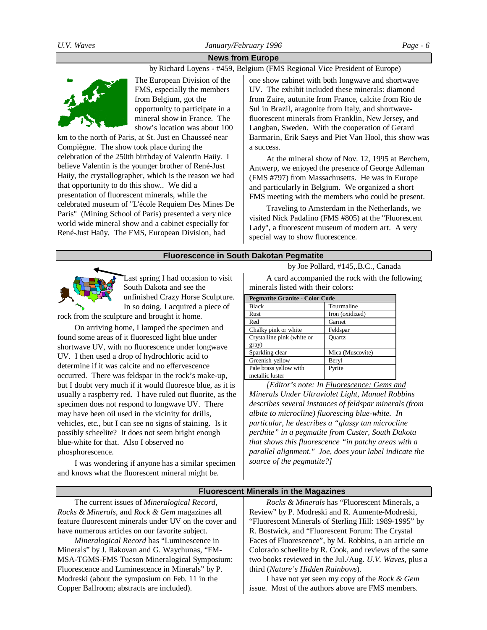# **News from Europe**

by Richard Loyens - #459, Belgium (FMS Regional Vice President of Europe)



The European Division of the FMS, especially the members from Belgium, got the opportunity to participate in a mineral show in France. The show's location was about 100

km to the north of Paris, at St. Just en Chausseé near Compiègne. The show took place during the celebration of the 250th birthday of Valentin Haüy. I believe Valentin is the younger brother of René-Just Haüy, the crystallographer, which is the reason we had that opportunity to do this show.. We did a presentation of fluorescent minerals, while the celebrated museum of "L'école Requiem Des Mines De Paris" (Mining School of Paris) presented a very nice world wide mineral show and a cabinet especially for René-Just Haüy. The FMS, European Division, had

one show cabinet with both longwave and shortwave UV. The exhibit included these minerals: diamond from Zaire, autunite from France, calcite from Rio de Sul in Brazil, aragonite from Italy, and shortwavefluorescent minerals from Franklin, New Jersey, and Langban, Sweden. With the cooperation of Gerard Barmarin, Erik Saeys and Piet Van Hool, this show was a success.

At the mineral show of Nov. 12, 1995 at Berchem, Antwerp, we enjoyed the presence of George Adleman (FMS #797) from Massachusetts. He was in Europe and particularly in Belgium. We organized a short FMS meeting with the members who could be present.

Traveling to Amsterdam in the Netherlands, we visited Nick Padalino (FMS #805) at the "Fluorescent Lady", a fluorescent museum of modern art. A very special way to show fluorescence.

#### **Fluorescence in South Dakotan Pegmatite**



Last spring I had occasion to visit South Dakota and see the unfinished Crazy Horse Sculpture. In so doing, I acquired a piece of

rock from the sculpture and brought it home.

On arriving home, I lamped the specimen and found some areas of it fluoresced light blue under shortwave UV, with no fluorescence under longwave UV. I then used a drop of hydrochloric acid to determine if it was calcite and no effervescence occurred. There was feldspar in the rock's make-up, but I doubt very much if it would fluoresce blue, as it is usually a raspberry red. I have ruled out fluorite, as the specimen does not respond to longwave UV. There may have been oil used in the vicinity for drills, vehicles, etc., but I can see no signs of staining. Is it possibly scheelite? It does not seem bright enough blue-white for that. Also I observed no phosphorescence.

I was wondering if anyone has a similar specimen and knows what the fluorescent mineral might be.

by Joe Pollard, #145,.B.C., Canada

A card accompanied the rock with the following minerals listed with their colors:

**Pegmatite Granite - Color Code**

| I cematité di année - Coloi Couc |                  |  |  |
|----------------------------------|------------------|--|--|
| <b>Black</b>                     | Tourmaline       |  |  |
| <b>Rust</b>                      | Iron (oxidized)  |  |  |
| Red                              | Garnet           |  |  |
| Chalky pink or white             | Feldspar         |  |  |
| Crystalline pink (white or       | Ouartz           |  |  |
| gray)                            |                  |  |  |
| Sparkling clear                  | Mica (Muscovite) |  |  |
| Greenish-yellow                  | Beryl            |  |  |
| Pale brass yellow with           | Pyrite           |  |  |
| metallic luster                  |                  |  |  |

*[Editor's note: In Fluorescence: Gems and Minerals Under Ultraviolet Light, Manuel Robbins describes several instances of feldspar minerals (from albite to microcline) fluorescing blue-white. In particular, he describes a "glassy tan microcline perthite" in a pegmatite from Custer, South Dakota that shows this fluorescence "in patchy areas with a parallel alignment." Joe, does your label indicate the source of the pegmatite?]*

issue. Most of the authors above are FMS members.

| <b>Fluorescent Minerals in the Magazines</b>           |                                                          |  |
|--------------------------------------------------------|----------------------------------------------------------|--|
| The current issues of <i>Mineralogical Record</i> ,    | Rocks & Minerals has "Fluorescent Minerals, a            |  |
| Rocks & Minerals, and Rock & Gem magazines all         | Review" by P. Modreski and R. Aumente-Modreski,          |  |
| feature fluorescent minerals under UV on the cover and | "Fluorescent Minerals of Sterling Hill: 1989-1995" by    |  |
| have numerous articles on our favorite subject.        | R. Bostwick, and "Fluorescent Forum: The Crystal         |  |
| Mineralogical Record has "Luminescence in              | Faces of Fluorescence", by M. Robbins, o an article on   |  |
| Minerals" by J. Rakovan and G. Waychunas, "FM-         | Colorado scheelite by R. Cook, and reviews of the same   |  |
| MSA-TGMS-FMS Tucson Mineralogical Symposium:           | two books reviewed in the Jul./Aug. U.V. Waves, plus a   |  |
| Fluorescence and Luminescence in Minerals" by P.       | third (Nature's Hidden Rainbows).                        |  |
| Modreski (about the symposium on Feb. 11 in the        | I have not yet seen my copy of the <i>Rock &amp; Gem</i> |  |

Copper Ballroom; abstracts are included).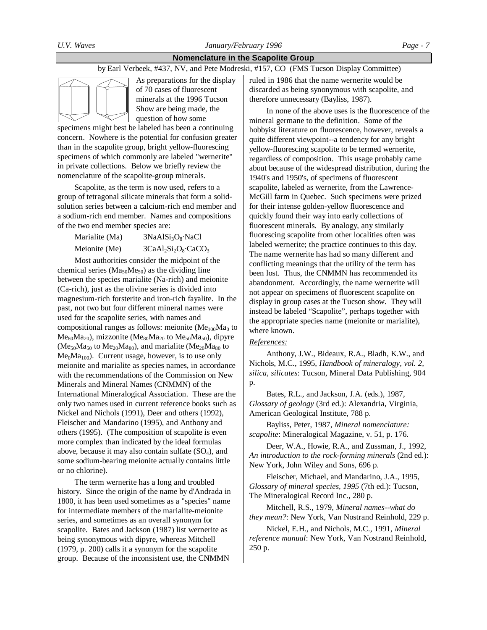# **Nomenclature in the Scapolite Group**

# by Earl Verbeek, #437, NV, and Pete Modreski, #157, CO (FMS Tucson Display Committee)



As preparations for the display of 70 cases of fluorescent minerals at the 1996 Tucson Show are being made, the question of how some

specimens might best be labeled has been a continuing concern. Nowhere is the potential for confusion greater than in the scapolite group, bright yellow-fluorescing specimens of which commonly are labeled "wernerite" in private collections. Below we briefly review the nomenclature of the scapolite-group minerals.

Scapolite, as the term is now used, refers to a group of tetragonal silicate minerals that form a solidsolution series between a calcium-rich end member and a sodium-rich end member. Names and compositions of the two end member species are:

Marialite (Ma)  $3NaAlSi<sub>3</sub>O<sub>8</sub>·NaCl$ Meionite (Me)  $3CaAl<sub>2</sub>Si<sub>2</sub>O<sub>8</sub>·CaCO<sub>3</sub>$ 

Most authorities consider the midpoint of the chemical series ( $Ma<sub>50</sub>Me<sub>50</sub>$ ) as the dividing line between the species marialite (Na-rich) and meionite (Ca-rich), just as the olivine series is divided into magnesium-rich forsterite and iron-rich fayalite. In the past, not two but four different mineral names were used for the scapolite series, with names and compositional ranges as follows: meionite  $(Me<sub>100</sub>Ma<sub>0</sub>$  to  $Me_{80}Ma_{20}$ , mizzonite (Me<sub>80</sub>Ma<sub>20</sub> to Me<sub>50</sub>Ma<sub>50</sub>), dipyre  $(Me_{50}Ma_{50}$  to  $Me_{20}Ma_{80}$ , and marialite  $(Me_{20}Ma_{80}$  to  $Me<sub>0</sub>Ma<sub>100</sub>$ . Current usage, however, is to use only meionite and marialite as species names, in accordance with the recommendations of the Commission on New Minerals and Mineral Names (CNMMN) of the International Mineralogical Association. These are the only two names used in current reference books such as Nickel and Nichols (1991), Deer and others (1992), Fleischer and Mandarino (1995), and Anthony and others (1995). (The composition of scapolite is even more complex than indicated by the ideal formulas above, because it may also contain sulfate  $(SO<sub>4</sub>)$ , and some sodium-bearing meionite actually contains little or no chlorine).

The term wernerite has a long and troubled history. Since the origin of the name by d'Andrada in 1800, it has been used sometimes as a "species" name for intermediate members of the marialite-meionite series, and sometimes as an overall synonym for scapolite. Bates and Jackson (1987) list wernerite as being synonymous with dipyre, whereas Mitchell (1979, p. 200) calls it a synonym for the scapolite group. Because of the inconsistent use, the CNMMN

ruled in 1986 that the name wernerite would be discarded as being synonymous with scapolite, and therefore unnecessary (Bayliss, 1987).

In none of the above uses is the fluorescence of the mineral germane to the definition. Some of the hobbyist literature on fluorescence, however, reveals a quite different viewpoint--a tendency for any bright yellow-fluorescing scapolite to be termed wernerite, regardless of composition. This usage probably came about because of the widespread distribution, during the 1940's and 1950's, of specimens of fluorescent scapolite, labeled as wernerite, from the Lawrence-McGill farm in Quebec. Such specimens were prized for their intense golden-yellow fluorescence and quickly found their way into early collections of fluorescent minerals. By analogy, any similarly fluorescing scapolite from other localities often was labeled wernerite; the practice continues to this day. The name wernerite has had so many different and conflicting meanings that the utility of the term has been lost. Thus, the CNMMN has recommended its abandonment. Accordingly, the name wernerite will not appear on specimens of fluorescent scapolite on display in group cases at the Tucson show. They will instead be labeled "Scapolite", perhaps together with the appropriate species name (meionite or marialite), where known.

## *References:*

Anthony, J.W., Bideaux, R.A., Bladh, K.W., and Nichols, M.C., 1995, *Handbook of mineralogy, vol. 2, silica, silicates*: Tucson, Mineral Data Publishing, 904 p.

Bates, R.L., and Jackson, J.A. (eds.), 1987, *Glossary of geology* (3rd ed.): Alexandria, Virginia, American Geological Institute, 788 p.

Bayliss, Peter, 1987, *Mineral nomenclature: scapolite*: Mineralogical Magazine, v. 51, p. 176.

Deer, W.A., Howie, R.A., and Zussman, J., 1992, *An introduction to the rock-forming minerals* (2nd ed.): New York, John Wiley and Sons, 696 p.

Fleischer, Michael, and Mandarino, J.A., 1995, *Glossary of mineral species, 1995* (7th ed.): Tucson, The Mineralogical Record Inc., 280 p.

Mitchell, R.S., 1979, *Mineral names--what do they mean?*: New York, Van Nostrand Reinhold, 229 p.

Nickel, E.H., and Nichols, M.C., 1991, *Mineral reference manual*: New York, Van Nostrand Reinhold, 250 p.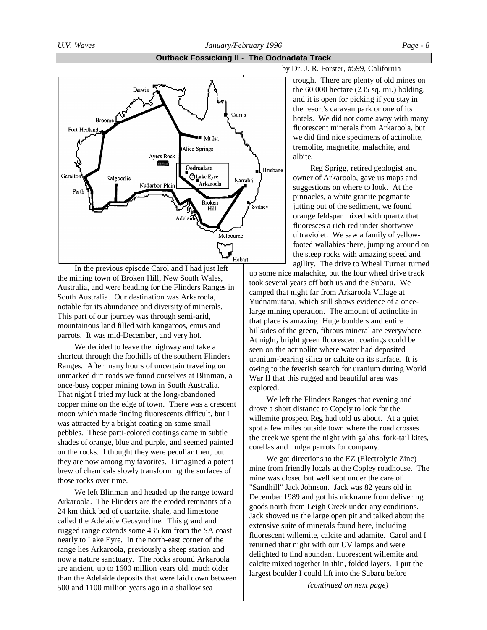### **Outback Fossicking II - The Oodnadata Track**



In the previous episode Carol and I had just left the mining town of Broken Hill, New South Wales, Australia, and were heading for the Flinders Ranges in South Australia. Our destination was Arkaroola, notable for its abundance and diversity of minerals. This part of our journey was through semi-arid, mountainous land filled with kangaroos, emus and parrots. It was mid-December, and very hot.

We decided to leave the highway and take a shortcut through the foothills of the southern Flinders Ranges. After many hours of uncertain traveling on unmarked dirt roads we found ourselves at Blinman, a once-busy copper mining town in South Australia. That night I tried my luck at the long-abandoned copper mine on the edge of town. There was a crescent moon which made finding fluorescents difficult, but I was attracted by a bright coating on some small pebbles. These parti-colored coatings came in subtle shades of orange, blue and purple, and seemed painted on the rocks. I thought they were peculiar then, but they are now among my favorites. I imagined a potent brew of chemicals slowly transforming the surfaces of those rocks over time.

We left Blinman and headed up the range toward Arkaroola. The Flinders are the eroded remnants of a 24 km thick bed of quartzite, shale, and limestone called the Adelaide Geosyncline. This grand and rugged range extends some 435 km from the SA coast nearly to Lake Eyre. In the north-east corner of the range lies Arkaroola, previously a sheep station and now a nature sanctuary. The rocks around Arkaroola are ancient, up to 1600 million years old, much older than the Adelaide deposits that were laid down between 500 and 1100 million years ago in a shallow sea

by Dr. J. R. Forster, #599, California

trough. There are plenty of old mines on the 60,000 hectare (235 sq. mi.) holding, and it is open for picking if you stay in the resort's caravan park or one of its hotels. We did not come away with many fluorescent minerals from Arkaroola, but we did find nice specimens of actinolite, tremolite, magnetite, malachite, and albite.

Reg Sprigg, retired geologist and owner of Arkaroola, gave us maps and suggestions on where to look. At the pinnacles, a white granite pegmatite jutting out of the sediment, we found orange feldspar mixed with quartz that fluoresces a rich red under shortwave ultraviolet. We saw a family of yellowfooted wallabies there, jumping around on the steep rocks with amazing speed and agility. The drive to Wheal Turner turned

up some nice malachite, but the four wheel drive track took several years off both us and the Subaru. We camped that night far from Arkaroola Village at Yudnamutana, which still shows evidence of a oncelarge mining operation. The amount of actinolite in that place is amazing! Huge boulders and entire hillsides of the green, fibrous mineral are everywhere. At night, bright green fluorescent coatings could be seen on the actinolite where water had deposited uranium-bearing silica or calcite on its surface. It is owing to the feverish search for uranium during World War II that this rugged and beautiful area was explored.

We left the Flinders Ranges that evening and drove a short distance to Copely to look for the willemite prospect Reg had told us about. At a quiet spot a few miles outside town where the road crosses the creek we spent the night with galahs, fork-tail kites, corellas and mulga parrots for company.

We got directions to the EZ (Electrolytic Zinc) mine from friendly locals at the Copley roadhouse. The mine was closed but well kept under the care of "Sandhill" Jack Johnson. Jack was 82 years old in December 1989 and got his nickname from delivering goods north from Leigh Creek under any conditions. Jack showed us the large open pit and talked about the extensive suite of minerals found here, including fluorescent willemite, calcite and adamite. Carol and I returned that night with our UV lamps and were delighted to find abundant fluorescent willemite and calcite mixed together in thin, folded layers. I put the largest boulder I could lift into the Subaru before

*(continued on next page)*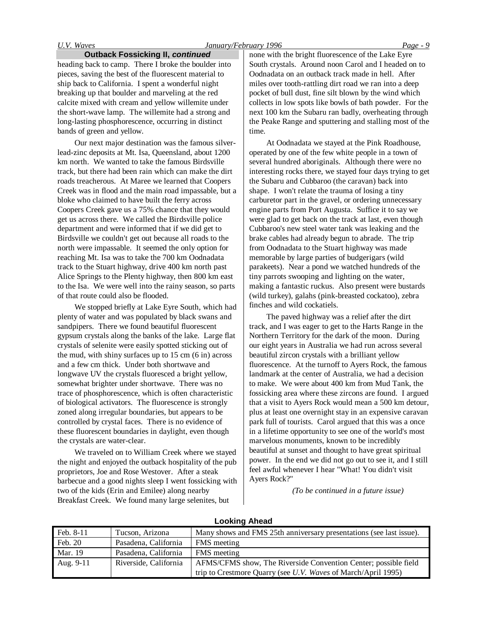## *U.V. Waves January/February 1996 Page - 9*

#### **Outback Fossicking II,** *continued*

heading back to camp. There I broke the boulder into pieces, saving the best of the fluorescent material to ship back to California. I spent a wonderful night breaking up that boulder and marveling at the red calcite mixed with cream and yellow willemite under the short-wave lamp. The willemite had a strong and long-lasting phosphorescence, occurring in distinct bands of green and yellow.

Our next major destination was the famous silverlead-zinc deposits at Mt. Isa, Queensland, about 1200 km north. We wanted to take the famous Birdsville track, but there had been rain which can make the dirt roads treacherous. At Maree we learned that Coopers Creek was in flood and the main road impassable, but a bloke who claimed to have built the ferry across Coopers Creek gave us a 75% chance that they would get us across there. We called the Birdsville police department and were informed that if we did get to Birdsville we couldn't get out because all roads to the north were impassable. It seemed the only option for reaching Mt. Isa was to take the 700 km Oodnadata track to the Stuart highway, drive 400 km north past Alice Springs to the Plenty highway, then 800 km east to the Isa. We were well into the rainy season, so parts of that route could also be flooded.

We stopped briefly at Lake Eyre South, which had plenty of water and was populated by black swans and sandpipers. There we found beautiful fluorescent gypsum crystals along the banks of the lake. Large flat crystals of selenite were easily spotted sticking out of the mud, with shiny surfaces up to 15 cm (6 in) across and a few cm thick. Under both shortwave and longwave UV the crystals fluoresced a bright yellow, somewhat brighter under shortwave. There was no trace of phosphorescence, which is often characteristic of biological activators. The fluorescence is strongly zoned along irregular boundaries, but appears to be controlled by crystal faces. There is no evidence of these fluorescent boundaries in daylight, even though the crystals are water-clear.

We traveled on to William Creek where we stayed the night and enjoyed the outback hospitality of the pub proprietors, Joe and Rose Westover. After a steak barbecue and a good nights sleep I went fossicking with two of the kids (Erin and Emilee) along nearby Breakfast Creek. We found many large selenites, but

none with the bright fluorescence of the Lake Eyre South crystals. Around noon Carol and I headed on to Oodnadata on an outback track made in hell. After miles over tooth-rattling dirt road we ran into a deep pocket of bull dust, fine silt blown by the wind which collects in low spots like bowls of bath powder. For the next 100 km the Subaru ran badly, overheating through the Peake Range and sputtering and stalling most of the time.

At Oodnadata we stayed at the Pink Roadhouse, operated by one of the few white people in a town of several hundred aboriginals. Although there were no interesting rocks there, we stayed four days trying to get the Subaru and Cubbaroo (the caravan) back into shape. I won't relate the trauma of losing a tiny carburetor part in the gravel, or ordering unnecessary engine parts from Port Augusta. Suffice it to say we were glad to get back on the track at last, even though Cubbaroo's new steel water tank was leaking and the brake cables had already begun to abrade. The trip from Oodnadata to the Stuart highway was made memorable by large parties of budgerigars (wild parakeets). Near a pond we watched hundreds of the tiny parrots swooping and lighting on the water, making a fantastic ruckus. Also present were bustards (wild turkey), galahs (pink-breasted cockatoo), zebra finches and wild cockatiels.

The paved highway was a relief after the dirt track, and I was eager to get to the Harts Range in the Northern Territory for the dark of the moon. During our eight years in Australia we had run across several beautiful zircon crystals with a brilliant yellow fluorescence. At the turnoff to Ayers Rock, the famous landmark at the center of Australia, we had a decision to make. We were about 400 km from Mud Tank, the fossicking area where these zircons are found. I argued that a visit to Ayers Rock would mean a 500 km detour, plus at least one overnight stay in an expensive caravan park full of tourists. Carol argued that this was a once in a lifetime opportunity to see one of the world's most marvelous monuments, known to be incredibly beautiful at sunset and thought to have great spiritual power. In the end we did not go out to see it, and I still feel awful whenever I hear "What! You didn't visit Ayers Rock?"

*(To be continued in a future issue)*

| Feb. 8-11      | Tucson, Arizona       | Many shows and FMS 25th anniversary presentations (see last issue).  |  |
|----------------|-----------------------|----------------------------------------------------------------------|--|
| Feb. 20        | Pasadena, California  | FMS meeting                                                          |  |
| <b>Mar.</b> 19 | Pasadena, California  | FMS meeting                                                          |  |
| Aug. 9-11      | Riverside, California | AFMS/CFMS show, The Riverside Convention Center; possible field      |  |
|                |                       | trip to Crestmore Quarry (see <i>U.V. Waves</i> of March/April 1995) |  |

# **Looking Ahead**